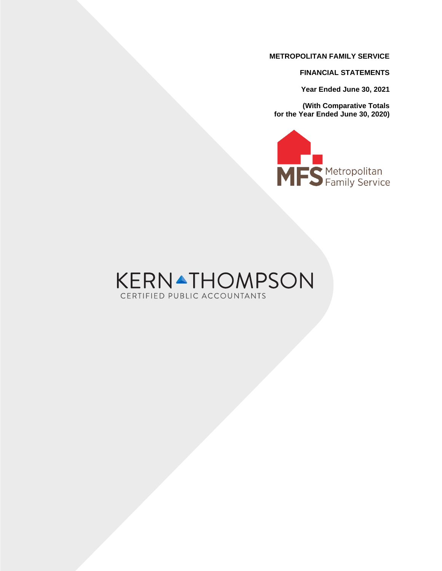**FINANCIAL STATEMENTS**

**Year Ended June 30, 2021**

**(With Comparative Totals for the Year Ended June 30, 2020)**



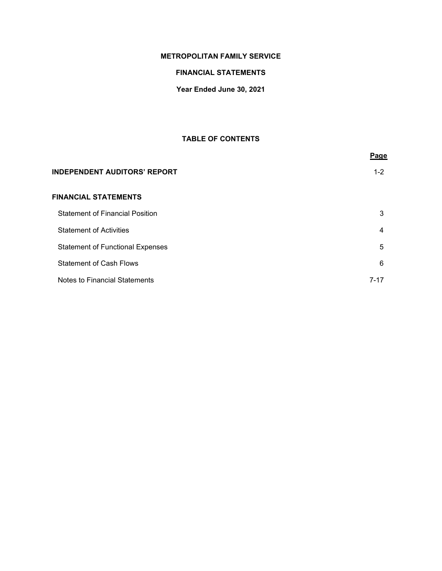# **FINANCIAL STATEMENTS**

# **Year Ended June 30, 2021**

# **TABLE OF CONTENTS**

|                                         | Page     |
|-----------------------------------------|----------|
| <b>INDEPENDENT AUDITORS' REPORT</b>     | $1 - 2$  |
| <b>FINANCIAL STATEMENTS</b>             |          |
| <b>Statement of Financial Position</b>  | 3        |
| <b>Statement of Activities</b>          | 4        |
| <b>Statement of Functional Expenses</b> | 5        |
| <b>Statement of Cash Flows</b>          | 6        |
| Notes to Financial Statements           | $7 - 17$ |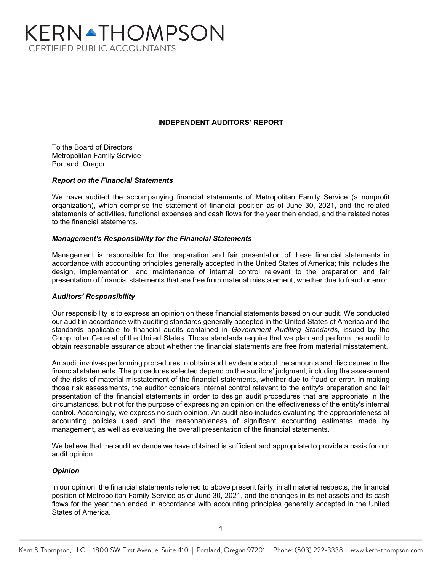# KERNATHOMPSON **CERTIFIED PUBLIC ACCOUNTANTS**

# **INDEPENDENT AUDITORS' REPORT**

To the Board of Directors Metropolitan Family Service Portland, Oregon

## *Report on the Financial Statements*

We have audited the accompanying financial statements of Metropolitan Family Service (a nonprofit organization), which comprise the statement of financial position as of June 30, 2021, and the related statements of activities, functional expenses and cash flows for the year then ended, and the related notes to the financial statements.

#### *Management's Responsibility for the Financial Statements*

Management is responsible for the preparation and fair presentation of these financial statements in accordance with accounting principles generally accepted in the United States of America; this includes the design, implementation, and maintenance of internal control relevant to the preparation and fair presentation of financial statements that are free from material misstatement, whether due to fraud or error.

## *Auditors' Responsibility*

Our responsibility is to express an opinion on these financial statements based on our audit. We conducted our audit in accordance with auditing standards generally accepted in the United States of America and the standards applicable to financial audits contained in *Government Auditing Standards*, issued by the Comptroller General of the United States. Those standards require that we plan and perform the audit to obtain reasonable assurance about whether the financial statements are free from material misstatement.

An audit involves performing procedures to obtain audit evidence about the amounts and disclosures in the financial statements. The procedures selected depend on the auditors' judgment, including the assessment of the risks of material misstatement of the financial statements, whether due to fraud or error. In making those risk assessments, the auditor considers internal control relevant to the entity's preparation and fair presentation of the financial statements in order to design audit procedures that are appropriate in the circumstances, but not for the purpose of expressing an opinion on the effectiveness of the entity's internal control. Accordingly, we express no such opinion. An audit also includes evaluating the appropriateness of accounting policies used and the reasonableness of significant accounting estimates made by management, as well as evaluating the overall presentation of the financial statements.

We believe that the audit evidence we have obtained is sufficient and appropriate to provide a basis for our audit opinion.

## *Opinion*

In our opinion, the financial statements referred to above present fairly, in all material respects, the financial position of Metropolitan Family Service as of June 30, 2021, and the changes in its net assets and its cash flows for the year then ended in accordance with accounting principles generally accepted in the United States of America.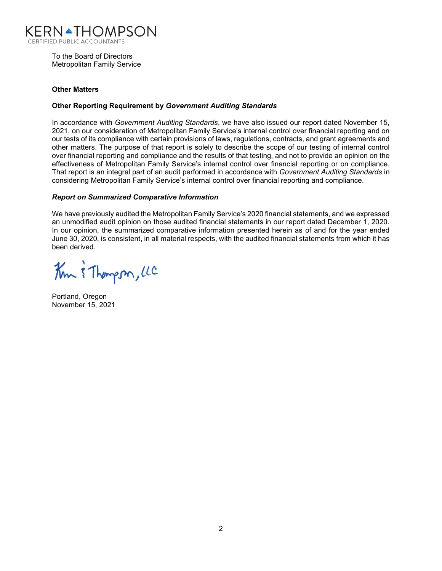

To the Board of Directors Metropolitan Family Service

# **Other Matters**

## **Other Reporting Requirement by** *Government Auditing Standards*

In accordance with *Government Auditing Standards*, we have also issued our report dated November 15, 2021, on our consideration of Metropolitan Family Service's internal control over financial reporting and on our tests of its compliance with certain provisions of laws, regulations, contracts, and grant agreements and other matters. The purpose of that report is solely to describe the scope of our testing of internal control over financial reporting and compliance and the results of that testing, and not to provide an opinion on the effectiveness of Metropolitan Family Service's internal control over financial reporting or on compliance. That report is an integral part of an audit performed in accordance with *Government Auditing Standards* in considering Metropolitan Family Service's internal control over financial reporting and compliance.

# *Report on Summarized Comparative Information*

We have previously audited the Metropolitan Family Service's 2020 financial statements, and we expressed an unmodified audit opinion on those audited financial statements in our report dated December 1, 2020. In our opinion, the summarized comparative information presented herein as of and for the year ended June 30, 2020, is consistent, in all material respects, with the audited financial statements from which it has been derived.

Km & Thompson, LC

Portland, Oregon November 15, 2021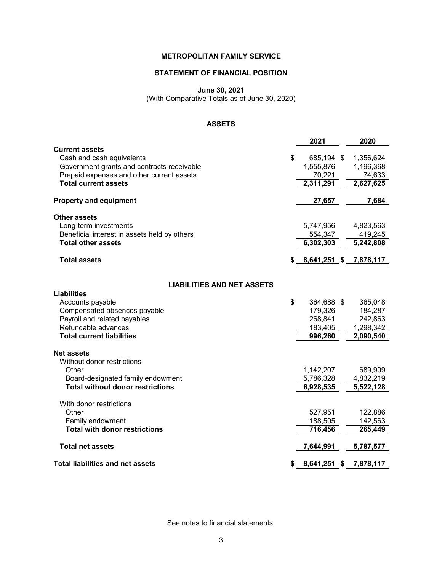# **STATEMENT OF FINANCIAL POSITION**

**June 30, 2021**

(With Comparative Totals as of June 30, 2020)

# **ASSETS**

| \$<br>Cash and cash equivalents<br>685,194 \$<br>1,356,624<br>Government grants and contracts receivable<br>1,555,876<br>1,196,368<br>Prepaid expenses and other current assets<br>70,221<br>74,633<br>2,311,291<br>2,627,625<br><b>Total current assets</b><br>27,657<br>7,684<br>Long-term investments<br>5,747,956<br>4,823,563<br>Beneficial interest in assets held by others<br>554,347<br>419,245<br>6,302,303<br>5,242,808<br><b>Total other assets</b><br>$$8,641,251$ $$7,878,117$<br><b>Total assets</b><br><b>LIABILITIES AND NET ASSETS</b><br>\$<br>364,688 \$<br>Accounts payable<br>365,048<br>Compensated absences payable<br>179,326<br>184,287<br>Payroll and related payables<br>268,841<br>242,863<br>Refundable advances<br>183,405<br>1,298,342<br>996,260<br><b>Total current liabilities</b><br>2,090,540<br>Without donor restrictions<br>Other<br>1,142,207<br>689,909<br>5,786,328<br>4,832,219<br>Board-designated family endowment<br><b>Total without donor restrictions</b><br>6,928,535<br>5,522,128<br>With donor restrictions<br>Other<br>527,951<br>122,886<br>Family endowment<br>188,505<br>142,563<br><b>Total with donor restrictions</b><br>716,456<br>265,449<br><b>Total net assets</b><br>7,644,991<br>5,787,577<br><b>Total liabilities and net assets</b><br>$8,641,251$ \$<br>7,878,117<br>\$ |                               | 2021 | 2020 |
|----------------------------------------------------------------------------------------------------------------------------------------------------------------------------------------------------------------------------------------------------------------------------------------------------------------------------------------------------------------------------------------------------------------------------------------------------------------------------------------------------------------------------------------------------------------------------------------------------------------------------------------------------------------------------------------------------------------------------------------------------------------------------------------------------------------------------------------------------------------------------------------------------------------------------------------------------------------------------------------------------------------------------------------------------------------------------------------------------------------------------------------------------------------------------------------------------------------------------------------------------------------------------------------------------------------------------------------------|-------------------------------|------|------|
|                                                                                                                                                                                                                                                                                                                                                                                                                                                                                                                                                                                                                                                                                                                                                                                                                                                                                                                                                                                                                                                                                                                                                                                                                                                                                                                                              | <b>Current assets</b>         |      |      |
|                                                                                                                                                                                                                                                                                                                                                                                                                                                                                                                                                                                                                                                                                                                                                                                                                                                                                                                                                                                                                                                                                                                                                                                                                                                                                                                                              |                               |      |      |
|                                                                                                                                                                                                                                                                                                                                                                                                                                                                                                                                                                                                                                                                                                                                                                                                                                                                                                                                                                                                                                                                                                                                                                                                                                                                                                                                              |                               |      |      |
|                                                                                                                                                                                                                                                                                                                                                                                                                                                                                                                                                                                                                                                                                                                                                                                                                                                                                                                                                                                                                                                                                                                                                                                                                                                                                                                                              |                               |      |      |
|                                                                                                                                                                                                                                                                                                                                                                                                                                                                                                                                                                                                                                                                                                                                                                                                                                                                                                                                                                                                                                                                                                                                                                                                                                                                                                                                              |                               |      |      |
|                                                                                                                                                                                                                                                                                                                                                                                                                                                                                                                                                                                                                                                                                                                                                                                                                                                                                                                                                                                                                                                                                                                                                                                                                                                                                                                                              | <b>Property and equipment</b> |      |      |
|                                                                                                                                                                                                                                                                                                                                                                                                                                                                                                                                                                                                                                                                                                                                                                                                                                                                                                                                                                                                                                                                                                                                                                                                                                                                                                                                              | <b>Other assets</b>           |      |      |
|                                                                                                                                                                                                                                                                                                                                                                                                                                                                                                                                                                                                                                                                                                                                                                                                                                                                                                                                                                                                                                                                                                                                                                                                                                                                                                                                              |                               |      |      |
|                                                                                                                                                                                                                                                                                                                                                                                                                                                                                                                                                                                                                                                                                                                                                                                                                                                                                                                                                                                                                                                                                                                                                                                                                                                                                                                                              |                               |      |      |
|                                                                                                                                                                                                                                                                                                                                                                                                                                                                                                                                                                                                                                                                                                                                                                                                                                                                                                                                                                                                                                                                                                                                                                                                                                                                                                                                              |                               |      |      |
|                                                                                                                                                                                                                                                                                                                                                                                                                                                                                                                                                                                                                                                                                                                                                                                                                                                                                                                                                                                                                                                                                                                                                                                                                                                                                                                                              |                               |      |      |
|                                                                                                                                                                                                                                                                                                                                                                                                                                                                                                                                                                                                                                                                                                                                                                                                                                                                                                                                                                                                                                                                                                                                                                                                                                                                                                                                              |                               |      |      |
|                                                                                                                                                                                                                                                                                                                                                                                                                                                                                                                                                                                                                                                                                                                                                                                                                                                                                                                                                                                                                                                                                                                                                                                                                                                                                                                                              | <b>Liabilities</b>            |      |      |
|                                                                                                                                                                                                                                                                                                                                                                                                                                                                                                                                                                                                                                                                                                                                                                                                                                                                                                                                                                                                                                                                                                                                                                                                                                                                                                                                              |                               |      |      |
|                                                                                                                                                                                                                                                                                                                                                                                                                                                                                                                                                                                                                                                                                                                                                                                                                                                                                                                                                                                                                                                                                                                                                                                                                                                                                                                                              |                               |      |      |
|                                                                                                                                                                                                                                                                                                                                                                                                                                                                                                                                                                                                                                                                                                                                                                                                                                                                                                                                                                                                                                                                                                                                                                                                                                                                                                                                              |                               |      |      |
|                                                                                                                                                                                                                                                                                                                                                                                                                                                                                                                                                                                                                                                                                                                                                                                                                                                                                                                                                                                                                                                                                                                                                                                                                                                                                                                                              |                               |      |      |
|                                                                                                                                                                                                                                                                                                                                                                                                                                                                                                                                                                                                                                                                                                                                                                                                                                                                                                                                                                                                                                                                                                                                                                                                                                                                                                                                              |                               |      |      |
|                                                                                                                                                                                                                                                                                                                                                                                                                                                                                                                                                                                                                                                                                                                                                                                                                                                                                                                                                                                                                                                                                                                                                                                                                                                                                                                                              | <b>Net assets</b>             |      |      |
|                                                                                                                                                                                                                                                                                                                                                                                                                                                                                                                                                                                                                                                                                                                                                                                                                                                                                                                                                                                                                                                                                                                                                                                                                                                                                                                                              |                               |      |      |
|                                                                                                                                                                                                                                                                                                                                                                                                                                                                                                                                                                                                                                                                                                                                                                                                                                                                                                                                                                                                                                                                                                                                                                                                                                                                                                                                              |                               |      |      |
|                                                                                                                                                                                                                                                                                                                                                                                                                                                                                                                                                                                                                                                                                                                                                                                                                                                                                                                                                                                                                                                                                                                                                                                                                                                                                                                                              |                               |      |      |
|                                                                                                                                                                                                                                                                                                                                                                                                                                                                                                                                                                                                                                                                                                                                                                                                                                                                                                                                                                                                                                                                                                                                                                                                                                                                                                                                              |                               |      |      |
|                                                                                                                                                                                                                                                                                                                                                                                                                                                                                                                                                                                                                                                                                                                                                                                                                                                                                                                                                                                                                                                                                                                                                                                                                                                                                                                                              |                               |      |      |
|                                                                                                                                                                                                                                                                                                                                                                                                                                                                                                                                                                                                                                                                                                                                                                                                                                                                                                                                                                                                                                                                                                                                                                                                                                                                                                                                              |                               |      |      |
|                                                                                                                                                                                                                                                                                                                                                                                                                                                                                                                                                                                                                                                                                                                                                                                                                                                                                                                                                                                                                                                                                                                                                                                                                                                                                                                                              |                               |      |      |
|                                                                                                                                                                                                                                                                                                                                                                                                                                                                                                                                                                                                                                                                                                                                                                                                                                                                                                                                                                                                                                                                                                                                                                                                                                                                                                                                              |                               |      |      |
|                                                                                                                                                                                                                                                                                                                                                                                                                                                                                                                                                                                                                                                                                                                                                                                                                                                                                                                                                                                                                                                                                                                                                                                                                                                                                                                                              |                               |      |      |
|                                                                                                                                                                                                                                                                                                                                                                                                                                                                                                                                                                                                                                                                                                                                                                                                                                                                                                                                                                                                                                                                                                                                                                                                                                                                                                                                              |                               |      |      |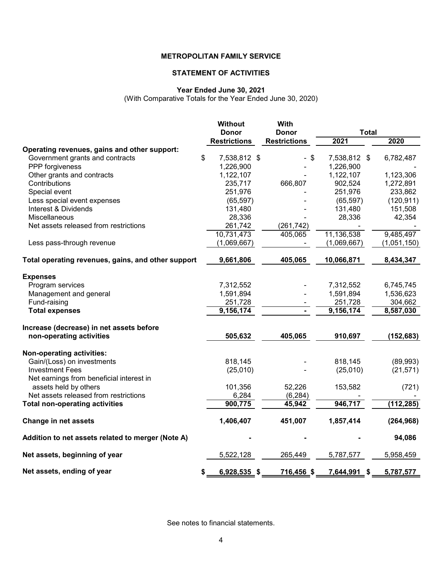# **STATEMENT OF ACTIVITIES**

# **Year Ended June 30, 2021**

(With Comparative Totals for the Year Ended June 30, 2020)

|                                                    | <b>Without</b><br><b>Donor</b> | With<br><b>Donor</b> | <b>Total</b> |  |             |
|----------------------------------------------------|--------------------------------|----------------------|--------------|--|-------------|
|                                                    | <b>Restrictions</b>            | <b>Restrictions</b>  | 2021         |  | 2020        |
| Operating revenues, gains and other support:       |                                |                      |              |  |             |
| Government grants and contracts                    | \$<br>7,538,812 \$             | $-$ \$               | 7,538,812 \$ |  | 6,782,487   |
| PPP forgiveness                                    | 1,226,900                      |                      | 1,226,900    |  |             |
| Other grants and contracts                         | 1,122,107                      |                      | 1,122,107    |  | 1,123,306   |
| Contributions                                      | 235,717                        | 666,807              | 902,524      |  | 1,272,891   |
| Special event                                      | 251,976                        |                      | 251,976      |  | 233,862     |
| Less special event expenses                        | (65, 597)                      |                      | (65, 597)    |  | (120, 911)  |
| Interest & Dividends                               | 131,480                        |                      | 131,480      |  | 151,508     |
| Miscellaneous                                      | 28,336                         |                      | 28,336       |  | 42,354      |
| Net assets released from restrictions              | 261,742                        | (261, 742)           |              |  |             |
|                                                    | 10,731,473                     | 405,065              | 11,136,538   |  | 9,485,497   |
| Less pass-through revenue                          | (1,069,667)                    |                      | (1,069,667)  |  | (1,051,150) |
| Total operating revenues, gains, and other support | 9,661,806                      | 405,065              | 10,066,871   |  | 8,434,347   |
| <b>Expenses</b>                                    |                                |                      |              |  |             |
| Program services                                   | 7,312,552                      |                      | 7,312,552    |  | 6,745,745   |
| Management and general                             | 1,591,894                      |                      | 1,591,894    |  | 1,536,623   |
| Fund-raising                                       | 251,728                        |                      | 251,728      |  | 304,662     |
| <b>Total expenses</b>                              | 9,156,174                      |                      | 9,156,174    |  | 8,587,030   |
| Increase (decrease) in net assets before           |                                |                      |              |  |             |
| non-operating activities                           | 505,632                        | 405,065              | 910,697      |  | (152, 683)  |
| Non-operating activities:                          |                                |                      |              |  |             |
| Gain/(Loss) on investments                         | 818,145                        |                      | 818,145      |  | (89,993)    |
| <b>Investment Fees</b>                             | (25,010)                       |                      | (25,010)     |  | (21, 571)   |
| Net earnings from beneficial interest in           |                                |                      |              |  |             |
| assets held by others                              | 101,356                        | 52,226               | 153,582      |  | (721)       |
| Net assets released from restrictions              | 6,284                          | (6, 284)             |              |  |             |
| <b>Total non-operating activities</b>              | 900,775                        | 45,942               | 946,717      |  | (112, 285)  |
| <b>Change in net assets</b>                        | 1,406,407                      | 451,007              | 1,857,414    |  | (264, 968)  |
| Addition to net assets related to merger (Note A)  |                                |                      |              |  | 94,086      |
| Net assets, beginning of year                      | 5,522,128                      | 265,449              | 5,787,577    |  | 5,958,459   |
| Net assets, ending of year                         | \$<br>$6,928,535$ \$           | 716,456 \$           | 7,644,991 \$ |  | 5,787,577   |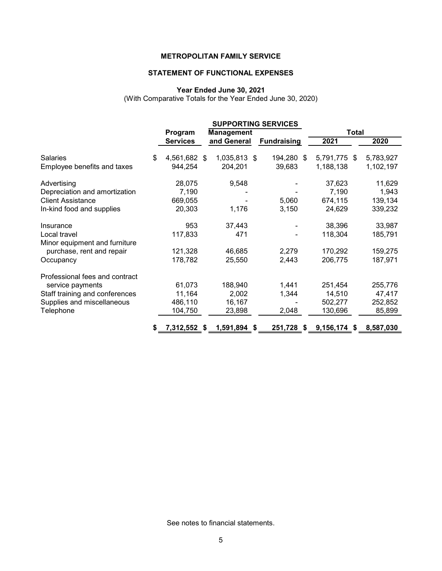# **STATEMENT OF FUNCTIONAL EXPENSES**

#### **Year Ended June 30, 2021**

(With Comparative Totals for the Year Ended June 30, 2020)

|                                |                    |                   | <b>SUPPORTING SERVICES</b> |       |                |  |           |
|--------------------------------|--------------------|-------------------|----------------------------|-------|----------------|--|-----------|
|                                | Program            | <b>Management</b> |                            | Total |                |  |           |
|                                | <b>Services</b>    | and General       | <b>Fundraising</b>         |       | 2021           |  | 2020      |
| <b>Salaries</b>                | \$<br>4,561,682 \$ | 1,035,813 \$      | 194,280 \$                 |       | 5,791,775 \$   |  | 5,783,927 |
| Employee benefits and taxes    | 944,254            | 204,201           | 39,683                     |       | 1,188,138      |  | 1,102,197 |
| Advertising                    | 28,075             | 9,548             |                            |       | 37,623         |  | 11,629    |
| Depreciation and amortization  | 7,190              |                   |                            |       | 7,190          |  | 1,943     |
| <b>Client Assistance</b>       | 669,055            |                   | 5,060                      |       | 674,115        |  | 139,134   |
| In-kind food and supplies      | 20,303             | 1,176             | 3,150                      |       | 24,629         |  | 339,232   |
| Insurance                      | 953                | 37,443            |                            |       | 38,396         |  | 33,987    |
| Local travel                   | 117,833            | 471               |                            |       | 118,304        |  | 185,791   |
| Minor equipment and furniture  |                    |                   |                            |       |                |  |           |
| purchase, rent and repair      | 121,328            | 46,685            | 2,279                      |       | 170,292        |  | 159,275   |
| Occupancy                      | 178,782            | 25,550            | 2,443                      |       | 206,775        |  | 187,971   |
| Professional fees and contract |                    |                   |                            |       |                |  |           |
| service payments               | 61,073             | 188,940           | 1,441                      |       | 251,454        |  | 255,776   |
| Staff training and conferences | 11,164             | 2,002             | 1,344                      |       | 14,510         |  | 47,417    |
| Supplies and miscellaneous     | 486,110            | 16,167            |                            |       | 502,277        |  | 252,852   |
| Telephone                      | 104,750            | 23,898            | 2,048                      |       | 130,696        |  | 85,899    |
|                                | 7,312,552 \$       | 1,591,894 \$      | $251,728$ \$               |       | $9,156,174$ \$ |  | 8,587,030 |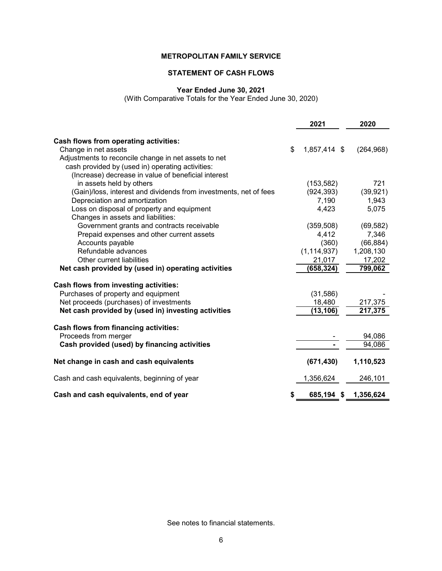# **STATEMENT OF CASH FLOWS**

# **Year Ended June 30, 2021**

(With Comparative Totals for the Year Ended June 30, 2020)

|                                                                   |    | 2021          | 2020       |
|-------------------------------------------------------------------|----|---------------|------------|
| Cash flows from operating activities:                             |    |               |            |
| Change in net assets                                              | \$ | 1,857,414 \$  | (264, 968) |
| Adjustments to reconcile change in net assets to net              |    |               |            |
| cash provided by (used in) operating activities:                  |    |               |            |
| (Increase) decrease in value of beneficial interest               |    |               |            |
| in assets held by others                                          |    | (153, 582)    | 721        |
| (Gain)/loss, interest and dividends from investments, net of fees |    | (924, 393)    | (39, 921)  |
| Depreciation and amortization                                     |    | 7,190         | 1,943      |
| Loss on disposal of property and equipment                        |    | 4,423         | 5,075      |
| Changes in assets and liabilities:                                |    |               |            |
| Government grants and contracts receivable                        |    | (359, 508)    | (69, 582)  |
| Prepaid expenses and other current assets                         |    | 4,412         | 7,346      |
| Accounts payable                                                  |    | (360)         | (66, 884)  |
| Refundable advances                                               |    | (1, 114, 937) | 1,208,130  |
| Other current liabilities                                         |    | 21,017        | 17,202     |
| Net cash provided by (used in) operating activities               |    | (658, 324)    | 799,062    |
|                                                                   |    |               |            |
| Cash flows from investing activities:                             |    |               |            |
| Purchases of property and equipment                               |    | (31, 586)     |            |
| Net proceeds (purchases) of investments                           |    | 18,480        | 217,375    |
| Net cash provided by (used in) investing activities               |    | (13, 106)     | 217,375    |
|                                                                   |    |               |            |
| Cash flows from financing activities:                             |    |               |            |
| Proceeds from merger                                              |    |               | 94,086     |
| Cash provided (used) by financing activities                      |    |               | 94,086     |
| Net change in cash and cash equivalents                           |    | (671, 430)    | 1,110,523  |
| Cash and cash equivalents, beginning of year                      |    | 1,356,624     | 246,101    |
| Cash and cash equivalents, end of year                            | S  | 685,194 \$    | 1,356,624  |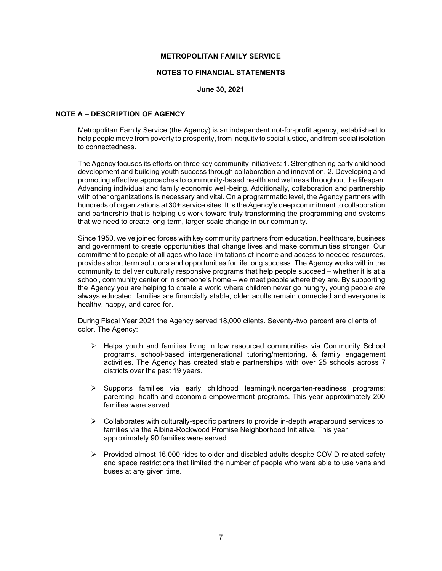#### **NOTES TO FINANCIAL STATEMENTS**

**June 30, 2021**

#### **NOTE A – DESCRIPTION OF AGENCY**

Metropolitan Family Service (the Agency) is an independent not-for-profit agency, established to help people move from poverty to prosperity, from inequity to social justice, and from social isolation to connectedness.

The Agency focuses its efforts on three key community initiatives: 1. Strengthening early childhood development and building youth success through collaboration and innovation. 2. Developing and promoting effective approaches to community-based health and wellness throughout the lifespan. Advancing individual and family economic well-being. Additionally, collaboration and partnership with other organizations is necessary and vital. On a programmatic level, the Agency partners with hundreds of organizations at 30+ service sites. It is the Agency's deep commitment to collaboration and partnership that is helping us work toward truly transforming the programming and systems that we need to create long-term, larger-scale change in our community.

Since 1950, we've joined forces with key community partners from education, healthcare, business and government to create opportunities that change lives and make communities stronger. Our commitment to people of all ages who face limitations of income and access to needed resources, provides short term solutions and opportunities for life long success. The Agency works within the community to deliver culturally responsive programs that help people succeed – whether it is at a school, community center or in someone's home – we meet people where they are. By supporting the Agency you are helping to create a world where children never go hungry, young people are always educated, families are financially stable, older adults remain connected and everyone is healthy, happy, and cared for.

During Fiscal Year 2021 the Agency served 18,000 clients. Seventy-two percent are clients of color. The Agency:

- $\triangleright$  Helps youth and families living in low resourced communities via Community School programs, school-based intergenerational tutoring/mentoring, & family engagement activities. The Agency has created stable partnerships with over 25 schools across 7 districts over the past 19 years.
- Supports families via early childhood learning/kindergarten-readiness programs; parenting, health and economic empowerment programs. This year approximately 200 families were served.
- $\triangleright$  Collaborates with culturally-specific partners to provide in-depth wraparound services to families via the Albina-Rockwood Promise Neighborhood Initiative. This year approximately 90 families were served.
- $\triangleright$  Provided almost 16,000 rides to older and disabled adults despite COVID-related safety and space restrictions that limited the number of people who were able to use vans and buses at any given time.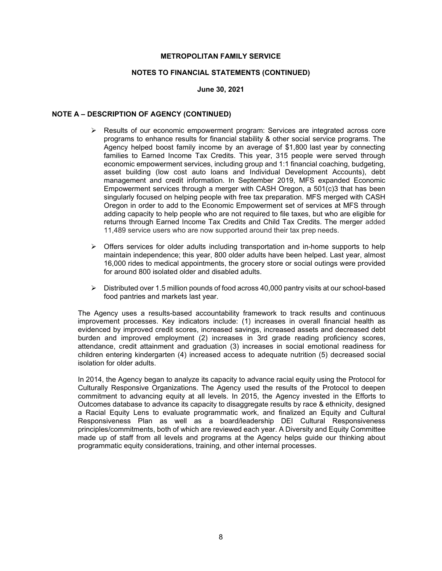#### **NOTES TO FINANCIAL STATEMENTS (CONTINUED)**

#### **June 30, 2021**

# **NOTE A – DESCRIPTION OF AGENCY (CONTINUED)**

- $\triangleright$  Results of our economic empowerment program: Services are integrated across core programs to enhance results for financial stability & other social service programs. The Agency helped boost family income by an average of \$1,800 last year by connecting families to Earned Income Tax Credits. This year, 315 people were served through economic empowerment services, including group and 1:1 financial coaching, budgeting, asset building (low cost auto loans and Individual Development Accounts), debt management and credit information. In September 2019, MFS expanded Economic Empowerment services through a merger with CASH Oregon, a 501(c)3 that has been singularly focused on helping people with free tax preparation. MFS merged with CASH Oregon in order to add to the Economic Empowerment set of services at MFS through adding capacity to help people who are not required to file taxes, but who are eligible for returns through Earned Income Tax Credits and Child Tax Credits. The merger added 11,489 service users who are now supported around their tax prep needs.
- $\triangleright$  Offers services for older adults including transportation and in-home supports to help maintain independence; this year, 800 older adults have been helped. Last year, almost 16,000 rides to medical appointments, the grocery store or social outings were provided for around 800 isolated older and disabled adults.
- $\triangleright$  Distributed over 1.5 million pounds of food across 40,000 pantry visits at our school-based food pantries and markets last year.

The Agency uses a results-based accountability framework to track results and continuous improvement processes. Key indicators include: (1) increases in overall financial health as evidenced by improved credit scores, increased savings, increased assets and decreased debt burden and improved employment (2) increases in 3rd grade reading proficiency scores, attendance, credit attainment and graduation (3) increases in social emotional readiness for children entering kindergarten (4) increased access to adequate nutrition (5) decreased social isolation for older adults.

In 2014, the Agency began to analyze its capacity to advance racial equity using the Protocol for Culturally Responsive Organizations. The Agency used the results of the Protocol to deepen commitment to advancing equity at all levels. In 2015, the Agency invested in the Efforts to Outcomes database to advance its capacity to disaggregate results by race & ethnicity, designed a Racial Equity Lens to evaluate programmatic work, and finalized an Equity and Cultural Responsiveness Plan as well as a board/leadership DEI Cultural Responsiveness principles/commitments, both of which are reviewed each year. A Diversity and Equity Committee made up of staff from all levels and programs at the Agency helps guide our thinking about programmatic equity considerations, training, and other internal processes.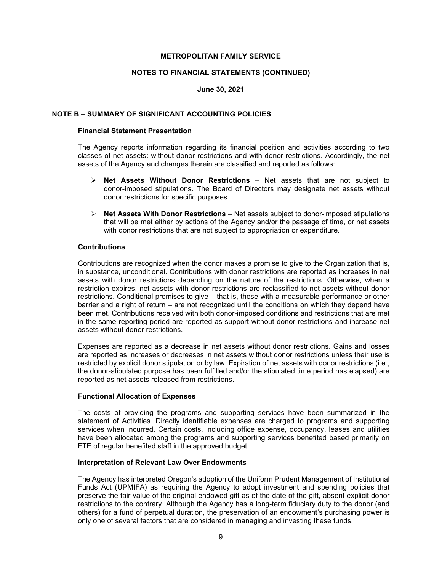#### **NOTES TO FINANCIAL STATEMENTS (CONTINUED)**

#### **June 30, 2021**

#### **NOTE B – SUMMARY OF SIGNIFICANT ACCOUNTING POLICIES**

## **Financial Statement Presentation**

The Agency reports information regarding its financial position and activities according to two classes of net assets: without donor restrictions and with donor restrictions. Accordingly, the net assets of the Agency and changes therein are classified and reported as follows:

- **Net Assets Without Donor Restrictions**  Net assets that are not subject to donor-imposed stipulations. The Board of Directors may designate net assets without donor restrictions for specific purposes.
- **Net Assets With Donor Restrictions** Net assets subject to donor-imposed stipulations that will be met either by actions of the Agency and/or the passage of time, or net assets with donor restrictions that are not subject to appropriation or expenditure.

## **Contributions**

Contributions are recognized when the donor makes a promise to give to the Organization that is, in substance, unconditional. Contributions with donor restrictions are reported as increases in net assets with donor restrictions depending on the nature of the restrictions. Otherwise, when a restriction expires, net assets with donor restrictions are reclassified to net assets without donor restrictions. Conditional promises to give – that is, those with a measurable performance or other barrier and a right of return – are not recognized until the conditions on which they depend have been met. Contributions received with both donor-imposed conditions and restrictions that are met in the same reporting period are reported as support without donor restrictions and increase net assets without donor restrictions.

Expenses are reported as a decrease in net assets without donor restrictions. Gains and losses are reported as increases or decreases in net assets without donor restrictions unless their use is restricted by explicit donor stipulation or by law. Expiration of net assets with donor restrictions (i.e., the donor-stipulated purpose has been fulfilled and/or the stipulated time period has elapsed) are reported as net assets released from restrictions.

#### **Functional Allocation of Expenses**

The costs of providing the programs and supporting services have been summarized in the statement of Activities. Directly identifiable expenses are charged to programs and supporting services when incurred. Certain costs, including office expense, occupancy, leases and utilities have been allocated among the programs and supporting services benefited based primarily on FTE of regular benefited staff in the approved budget.

#### **Interpretation of Relevant Law Over Endowments**

The Agency has interpreted Oregon's adoption of the Uniform Prudent Management of Institutional Funds Act (UPMIFA) as requiring the Agency to adopt investment and spending policies that preserve the fair value of the original endowed gift as of the date of the gift, absent explicit donor restrictions to the contrary. Although the Agency has a long-term fiduciary duty to the donor (and others) for a fund of perpetual duration, the preservation of an endowment's purchasing power is only one of several factors that are considered in managing and investing these funds.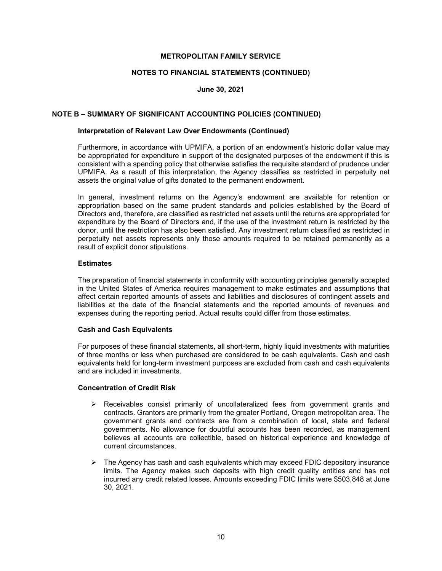## **NOTES TO FINANCIAL STATEMENTS (CONTINUED)**

## **June 30, 2021**

## **NOTE B – SUMMARY OF SIGNIFICANT ACCOUNTING POLICIES (CONTINUED)**

# **Interpretation of Relevant Law Over Endowments (Continued)**

Furthermore, in accordance with UPMIFA, a portion of an endowment's historic dollar value may be appropriated for expenditure in support of the designated purposes of the endowment if this is consistent with a spending policy that otherwise satisfies the requisite standard of prudence under UPMIFA. As a result of this interpretation, the Agency classifies as restricted in perpetuity net assets the original value of gifts donated to the permanent endowment.

In general, investment returns on the Agency's endowment are available for retention or appropriation based on the same prudent standards and policies established by the Board of Directors and, therefore, are classified as restricted net assets until the returns are appropriated for expenditure by the Board of Directors and, if the use of the investment return is restricted by the donor, until the restriction has also been satisfied. Any investment return classified as restricted in perpetuity net assets represents only those amounts required to be retained permanently as a result of explicit donor stipulations.

#### **Estimates**

The preparation of financial statements in conformity with accounting principles generally accepted in the United States of America requires management to make estimates and assumptions that affect certain reported amounts of assets and liabilities and disclosures of contingent assets and liabilities at the date of the financial statements and the reported amounts of revenues and expenses during the reporting period. Actual results could differ from those estimates.

## **Cash and Cash Equivalents**

For purposes of these financial statements, all short-term, highly liquid investments with maturities of three months or less when purchased are considered to be cash equivalents. Cash and cash equivalents held for long-term investment purposes are excluded from cash and cash equivalents and are included in investments.

#### **Concentration of Credit Risk**

- $\triangleright$  Receivables consist primarily of uncollateralized fees from government grants and contracts. Grantors are primarily from the greater Portland, Oregon metropolitan area. The government grants and contracts are from a combination of local, state and federal governments. No allowance for doubtful accounts has been recorded, as management believes all accounts are collectible, based on historical experience and knowledge of current circumstances.
- $\triangleright$  The Agency has cash and cash equivalents which may exceed FDIC depository insurance limits. The Agency makes such deposits with high credit quality entities and has not incurred any credit related losses. Amounts exceeding FDIC limits were \$503,848 at June 30, 2021.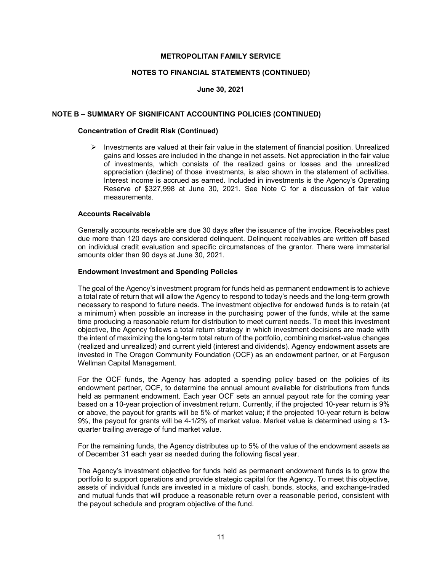#### **NOTES TO FINANCIAL STATEMENTS (CONTINUED)**

#### **June 30, 2021**

#### **NOTE B – SUMMARY OF SIGNIFICANT ACCOUNTING POLICIES (CONTINUED)**

# **Concentration of Credit Risk (Continued)**

 $\triangleright$  Investments are valued at their fair value in the statement of financial position. Unrealized gains and losses are included in the change in net assets. Net appreciation in the fair value of investments, which consists of the realized gains or losses and the unrealized appreciation (decline) of those investments, is also shown in the statement of activities. Interest income is accrued as earned. Included in investments is the Agency's Operating Reserve of \$327,998 at June 30, 2021. See Note C for a discussion of fair value measurements.

#### **Accounts Receivable**

Generally accounts receivable are due 30 days after the issuance of the invoice. Receivables past due more than 120 days are considered delinquent. Delinquent receivables are written off based on individual credit evaluation and specific circumstances of the grantor. There were immaterial amounts older than 90 days at June 30, 2021.

#### **Endowment Investment and Spending Policies**

The goal of the Agency's investment program for funds held as permanent endowment is to achieve a total rate of return that will allow the Agency to respond to today's needs and the long-term growth necessary to respond to future needs. The investment objective for endowed funds is to retain (at a minimum) when possible an increase in the purchasing power of the funds, while at the same time producing a reasonable return for distribution to meet current needs. To meet this investment objective, the Agency follows a total return strategy in which investment decisions are made with the intent of maximizing the long-term total return of the portfolio, combining market-value changes (realized and unrealized) and current yield (interest and dividends). Agency endowment assets are invested in The Oregon Community Foundation (OCF) as an endowment partner, or at Ferguson Wellman Capital Management.

For the OCF funds, the Agency has adopted a spending policy based on the policies of its endowment partner, OCF, to determine the annual amount available for distributions from funds held as permanent endowment. Each year OCF sets an annual payout rate for the coming year based on a 10-year projection of investment return. Currently, if the projected 10-year return is 9% or above, the payout for grants will be 5% of market value; if the projected 10-year return is below 9%, the payout for grants will be 4-1/2% of market value. Market value is determined using a 13 quarter trailing average of fund market value.

For the remaining funds, the Agency distributes up to 5% of the value of the endowment assets as of December 31 each year as needed during the following fiscal year.

The Agency's investment objective for funds held as permanent endowment funds is to grow the portfolio to support operations and provide strategic capital for the Agency. To meet this objective, assets of individual funds are invested in a mixture of cash, bonds, stocks, and exchange-traded and mutual funds that will produce a reasonable return over a reasonable period, consistent with the payout schedule and program objective of the fund.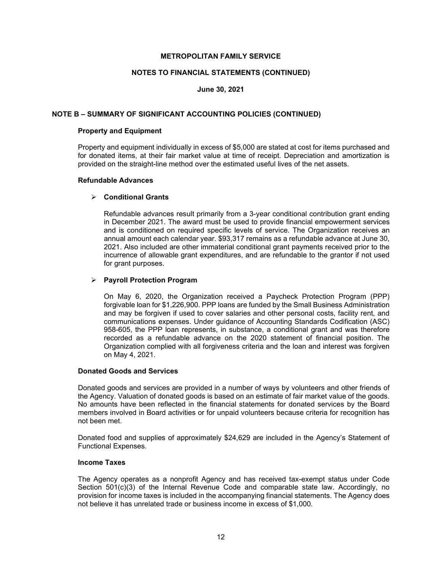#### **NOTES TO FINANCIAL STATEMENTS (CONTINUED)**

#### **June 30, 2021**

#### **NOTE B – SUMMARY OF SIGNIFICANT ACCOUNTING POLICIES (CONTINUED)**

#### **Property and Equipment**

Property and equipment individually in excess of \$5,000 are stated at cost for items purchased and for donated items, at their fair market value at time of receipt. Depreciation and amortization is provided on the straight-line method over the estimated useful lives of the net assets.

#### **Refundable Advances**

#### **Conditional Grants**

Refundable advances result primarily from a 3-year conditional contribution grant ending in December 2021. The award must be used to provide financial empowerment services and is conditioned on required specific levels of service. The Organization receives an annual amount each calendar year. \$93,317 remains as a refundable advance at June 30, 2021. Also included are other immaterial conditional grant payments received prior to the incurrence of allowable grant expenditures, and are refundable to the grantor if not used for grant purposes.

## **Payroll Protection Program**

On May 6, 2020, the Organization received a Paycheck Protection Program (PPP) forgivable loan for \$1,226,900. PPP loans are funded by the Small Business Administration and may be forgiven if used to cover salaries and other personal costs, facility rent, and communications expenses. Under guidance of Accounting Standards Codification (ASC) 958-605, the PPP loan represents, in substance, a conditional grant and was therefore recorded as a refundable advance on the 2020 statement of financial position. The Organization complied with all forgiveness criteria and the loan and interest was forgiven on May 4, 2021.

#### **Donated Goods and Services**

Donated goods and services are provided in a number of ways by volunteers and other friends of the Agency. Valuation of donated goods is based on an estimate of fair market value of the goods. No amounts have been reflected in the financial statements for donated services by the Board members involved in Board activities or for unpaid volunteers because criteria for recognition has not been met.

Donated food and supplies of approximately \$24,629 are included in the Agency's Statement of Functional Expenses.

#### **Income Taxes**

The Agency operates as a nonprofit Agency and has received tax-exempt status under Code Section 501(c)(3) of the Internal Revenue Code and comparable state law. Accordingly, no provision for income taxes is included in the accompanying financial statements. The Agency does not believe it has unrelated trade or business income in excess of \$1,000.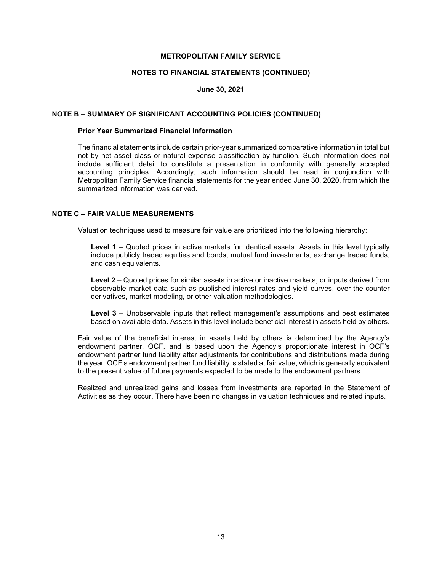#### **NOTES TO FINANCIAL STATEMENTS (CONTINUED)**

#### **June 30, 2021**

#### **NOTE B – SUMMARY OF SIGNIFICANT ACCOUNTING POLICIES (CONTINUED)**

# **Prior Year Summarized Financial Information**

The financial statements include certain prior-year summarized comparative information in total but not by net asset class or natural expense classification by function. Such information does not include sufficient detail to constitute a presentation in conformity with generally accepted accounting principles. Accordingly, such information should be read in conjunction with Metropolitan Family Service financial statements for the year ended June 30, 2020, from which the summarized information was derived.

# **NOTE C – FAIR VALUE MEASUREMENTS**

Valuation techniques used to measure fair value are prioritized into the following hierarchy:

**Level 1** – Quoted prices in active markets for identical assets. Assets in this level typically include publicly traded equities and bonds, mutual fund investments, exchange traded funds, and cash equivalents.

**Level 2** – Quoted prices for similar assets in active or inactive markets, or inputs derived from observable market data such as published interest rates and yield curves, over-the-counter derivatives, market modeling, or other valuation methodologies.

**Level 3** – Unobservable inputs that reflect management's assumptions and best estimates based on available data. Assets in this level include beneficial interest in assets held by others.

Fair value of the beneficial interest in assets held by others is determined by the Agency's endowment partner, OCF, and is based upon the Agency's proportionate interest in OCF's endowment partner fund liability after adjustments for contributions and distributions made during the year. OCF's endowment partner fund liability is stated at fair value, which is generally equivalent to the present value of future payments expected to be made to the endowment partners.

Realized and unrealized gains and losses from investments are reported in the Statement of Activities as they occur. There have been no changes in valuation techniques and related inputs.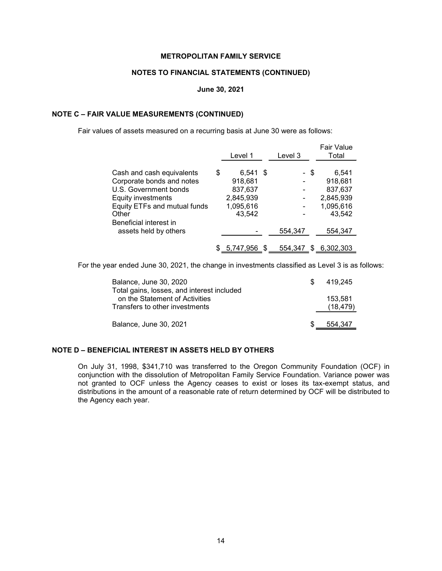# **NOTES TO FINANCIAL STATEMENTS (CONTINUED)**

#### **June 30, 2021**

#### **NOTE C – FAIR VALUE MEASUREMENTS (CONTINUED)**

Fair values of assets measured on a recurring basis at June 30 were as follows:

|                              | Level 1          |   | Level 3 |      | Fair Value<br>Total |
|------------------------------|------------------|---|---------|------|---------------------|
|                              |                  |   |         |      |                     |
| Cash and cash equivalents    | \$<br>$6,541$ \$ |   |         | - \$ | 6,541               |
| Corporate bonds and notes    | 918,681          |   |         |      | 918,681             |
| U.S. Government bonds        | 837,637          |   |         |      | 837,637             |
| Equity investments           | 2,845,939        |   |         |      | 2,845,939           |
| Equity ETFs and mutual funds | 1,095,616        |   |         |      | 1,095,616           |
| Other                        | 43,542           |   |         |      | 43,542              |
| Beneficial interest in       |                  |   |         |      |                     |
| assets held by others        |                  |   | 554,347 |      | 554,347             |
|                              |                  |   |         |      |                     |
|                              | \$ 5,747,956     | S | 554,347 |      | \$ 6,302,303        |

For the year ended June 30, 2021, the change in investments classified as Level 3 is as follows:

| Balance, June 30, 2020<br>Total gains, losses, and interest included | \$. | 419.245              |
|----------------------------------------------------------------------|-----|----------------------|
| on the Statement of Activities<br>Transfers to other investments     |     | 153.581<br>(18, 479) |
| Balance, June 30, 2021                                               |     | 554.347              |

# **NOTE D – BENEFICIAL INTEREST IN ASSETS HELD BY OTHERS**

On July 31, 1998, \$341,710 was transferred to the Oregon Community Foundation (OCF) in conjunction with the dissolution of Metropolitan Family Service Foundation. Variance power was not granted to OCF unless the Agency ceases to exist or loses its tax-exempt status, and distributions in the amount of a reasonable rate of return determined by OCF will be distributed to the Agency each year.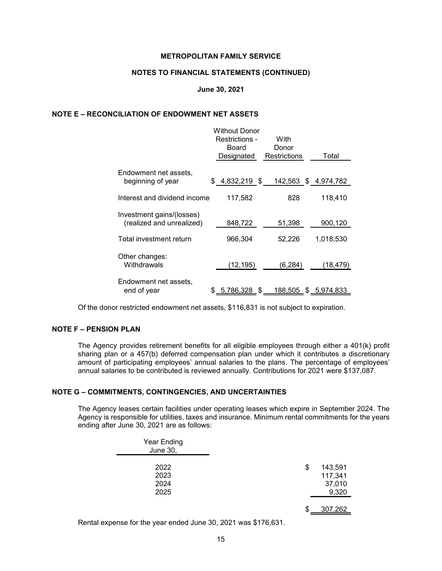#### **NOTES TO FINANCIAL STATEMENTS (CONTINUED)**

#### **June 30, 2021**

#### **NOTE E – RECONCILIATION OF ENDOWMENT NET ASSETS**

|                                                        | Without Donor<br>Restrictions -<br>Board | With                         |           |
|--------------------------------------------------------|------------------------------------------|------------------------------|-----------|
|                                                        | Designated                               | Donor<br><b>Restrictions</b> | Total     |
| Endowment net assets,<br>beginning of year             | $$4,832,219$ \$                          | 142,563 \$4,974,782          |           |
| Interest and dividend income                           | 117,582                                  | 828                          | 118,410   |
| Investment gains/(losses)<br>(realized and unrealized) | 848,722                                  | 51,398                       | 900,120   |
| Total investment return                                | 966,304                                  | 52,226                       | 1,018,530 |
| Other changes:<br>Withdrawals                          | (12, 195)                                | (6, 284)                     | (18, 479) |
| Endowment net assets,<br>end of year                   | $$ 5,786,328$ \$                         | 188,505 \$ 5,974,833         |           |

Of the donor restricted endowment net assets, \$116,831 is not subject to expiration.

# **NOTE F – PENSION PLAN**

The Agency provides retirement benefits for all eligible employees through either a 401(k) profit sharing plan or a 457(b) deferred compensation plan under which it contributes a discretionary amount of participating employees' annual salaries to the plans. The percentage of employees' annual salaries to be contributed is reviewed annually. Contributions for 2021 were \$137,087.

# **NOTE G – COMMITMENTS, CONTINGENCIES, AND UNCERTAINTIES**

The Agency leases certain facilities under operating leases which expire in September 2024. The Agency is responsible for utilities, taxes and insurance. Minimum rental commitments for the years ending after June 30, 2021 are as follows:

| <b>Year Ending</b><br><b>June 30,</b> |                                             |
|---------------------------------------|---------------------------------------------|
| 2022<br>2023<br>2024<br>2025          | \$<br>143,591<br>117,341<br>37,010<br>9,320 |
|                                       | \$<br>307,262                               |

Rental expense for the year ended June 30, 2021 was \$176,631.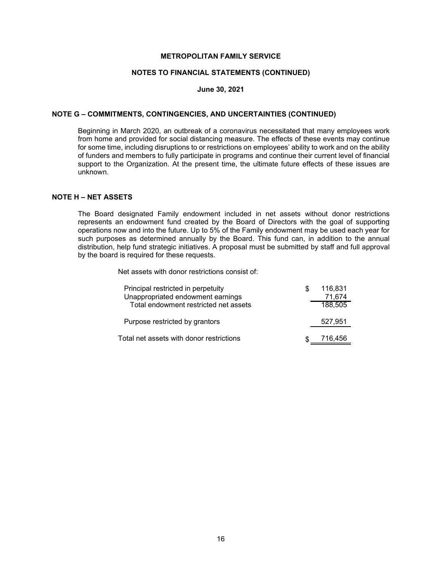#### **NOTES TO FINANCIAL STATEMENTS (CONTINUED)**

#### **June 30, 2021**

#### **NOTE G – COMMITMENTS, CONTINGENCIES, AND UNCERTAINTIES (CONTINUED)**

Beginning in March 2020, an outbreak of a coronavirus necessitated that many employees work from home and provided for social distancing measure. The effects of these events may continue for some time, including disruptions to or restrictions on employees' ability to work and on the ability of funders and members to fully participate in programs and continue their current level of financial support to the Organization. At the present time, the ultimate future effects of these issues are unknown.

## **NOTE H – NET ASSETS**

The Board designated Family endowment included in net assets without donor restrictions represents an endowment fund created by the Board of Directors with the goal of supporting operations now and into the future. Up to 5% of the Family endowment may be used each year for such purposes as determined annually by the Board. This fund can, in addition to the annual distribution, help fund strategic initiatives. A proposal must be submitted by staff and full approval by the board is required for these requests.

Net assets with donor restrictions consist of:

| Principal restricted in perpetuity<br>Unappropriated endowment earnings | 116,831<br>71,674 |
|-------------------------------------------------------------------------|-------------------|
| Total endowment restricted net assets                                   | 188,505           |
| Purpose restricted by grantors                                          | 527,951           |
| Total net assets with donor restrictions                                | 716.456           |